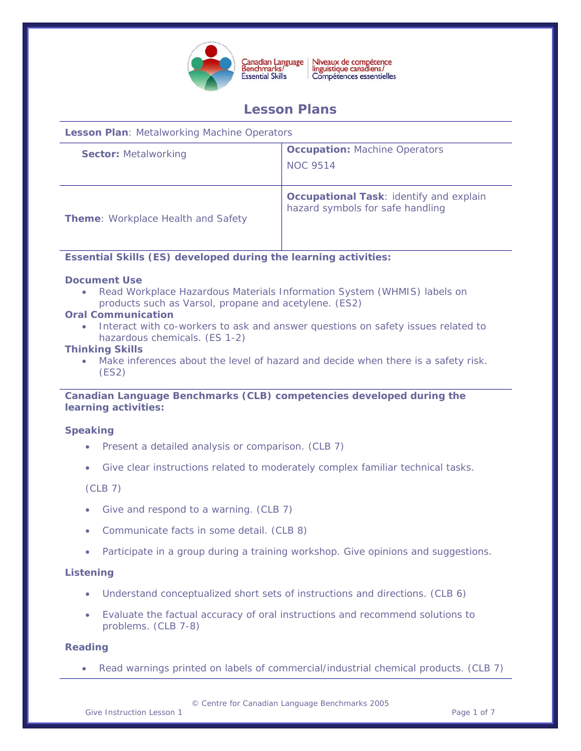

Niveaux de compétence<br>linguistique canadiens/<br>Compétences essentielles Canadian Language<br>Benchmarks/

# **Lesson Plans**

**Lesson Plan**: Metalworking Machine Operators

| <b>Sector: Metalworking</b>               | <b>Occupation: Machine Operators</b><br><b>NOC 9514</b>                            |
|-------------------------------------------|------------------------------------------------------------------------------------|
| <b>Theme:</b> Workplace Health and Safety | <b>Occupational Task: identify and explain</b><br>hazard symbols for safe handling |

# **Essential Skills (ES) developed during the learning activities:**

# **Document Use**

• Read Workplace Hazardous Materials Information System (WHMIS) labels on products such as Varsol, propane and acetylene. (ES2)

# **Oral Communication**

• Interact with co-workers to ask and answer questions on safety issues related to hazardous chemicals. (ES 1-2)

#### **Thinking Skills**

Make inferences about the level of hazard and decide when there is a safety risk. (ES2)

# **Canadian Language Benchmarks (CLB) competencies developed during the learning activities:**

# **Speaking**

- Present a detailed analysis or comparison. (CLB 7)
- Give clear instructions related to moderately complex familiar technical tasks.

#### (CLB 7)

- Give and respond to a warning. (CLB 7)
- Communicate facts in some detail. (CLB 8)
- Participate in a group during a training workshop. Give opinions and suggestions.

#### **Listening**

- Understand conceptualized short sets of instructions and directions. (CLB 6)
- Evaluate the factual accuracy of oral instructions and recommend solutions to problems. (CLB 7-8)

#### **Reading**

• Read warnings printed on labels of commercial/industrial chemical products. (CLB 7)

© Centre for Canadian Language Benchmarks 2005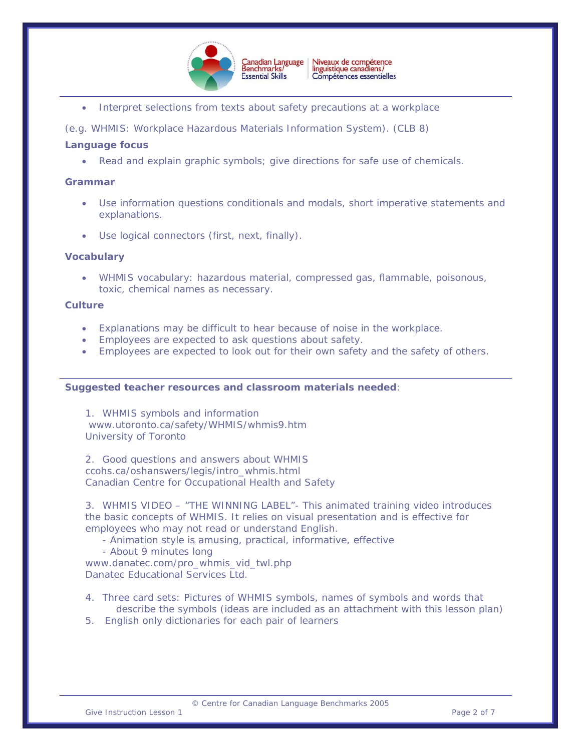

• Interpret selections from texts about safety precautions at a workplace

(e.g. WHMIS: Workplace Hazardous Materials Information System). (CLB 8)

# **Language focus**

• Read and explain graphic symbols; give directions for safe use of chemicals.

#### **Grammar**

- Use information questions conditionals and modals, short imperative statements and explanations.
- Use logical connectors (first, next, finally).

# **Vocabulary**

• WHMIS vocabulary: hazardous material, compressed gas, flammable, poisonous, toxic, chemical names as necessary.

#### **Culture**

- Explanations may be difficult to hear because of noise in the workplace.
- Employees are expected to ask questions about safety.
- Employees are expected to look out for their own safety and the safety of others.

#### **Suggested teacher resources and classroom materials needed**:

1. WHMIS symbols and information [www.utoronto.ca/safety/WHMIS/whmis9.htm](http://www.utoronto.ca/safety/WHMIS/whmis9.htm) University of Toronto

2. Good questions and answers about WHMIS ccohs.ca/oshanswers/legis/intro\_whmis.html Canadian Centre for Occupational Health and Safety

3. WHMIS VIDEO – "THE WINNING LABEL"- This animated training video introduces the basic concepts of WHMIS. It relies on visual presentation and is effective for employees who may not read or understand English.

- Animation style is amusing, practical, informative, effective
- About 9 minutes long

[www.danatec.com/pro\\_whmis\\_vid\\_twl.php](http://www.danatec.com/pro_whmis_vid_twl.php) Danatec Educational Services Ltd.

- 4. Three card sets: Pictures of WHMIS symbols, names of symbols and words that describe the symbols (ideas are included as an attachment with this lesson plan)
- 5. English only dictionaries for each pair of learners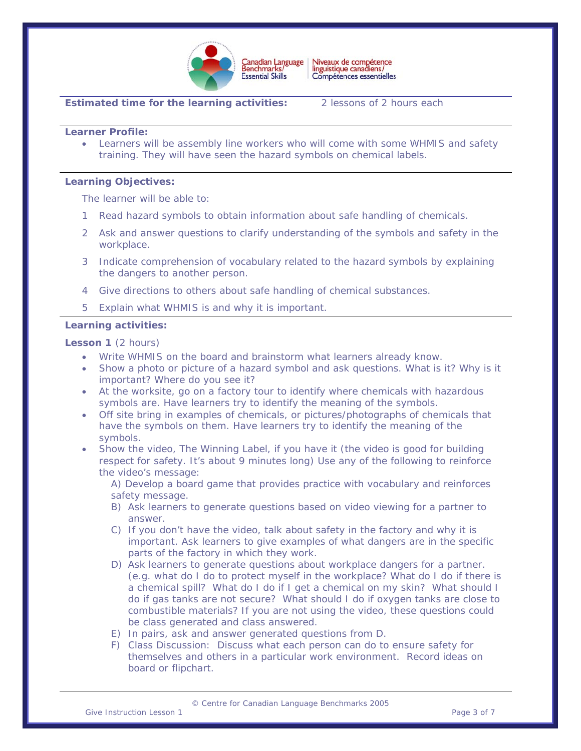

Niveaux de compétence<br>linguistique canadiens/ Canadian Language<br>Benchmarks/ Compétences essentielles

# **Estimated time for the learning activities:** 2 lessons of 2 hours each

**Learner Profile:** 

• Learners will be assembly line workers who will come with some WHMIS and safety training. They will have seen the hazard symbols on chemical labels.

#### **Learning Objectives:**

The learner will be able to:

- Read hazard symbols to obtain information about safe handling of chemicals.
- 2 Ask and answer questions to clarify understanding of the symbols and safety in the workplace.
- 3 Indicate comprehension of vocabulary related to the hazard symbols by explaining the dangers to another person.
- 4 Give directions to others about safe handling of chemical substances.
- 5 Explain what WHMIS is and why it is important.

#### **Learning activities:**

**Lesson 1** (2 hours)

- Write WHMIS on the board and brainstorm what learners already know.
- Show a photo or picture of a hazard symbol and ask questions. What is it? Why is it important? Where do you see it?
- At the worksite, go on a factory tour to identify where chemicals with hazardous symbols are. Have learners try to identify the meaning of the symbols.
- Off site bring in examples of chemicals, or pictures/photographs of chemicals that have the symbols on them. Have learners try to identify the meaning of the symbols.
- Show the video, The Winning Label, if you have it (the video is good for building respect for safety. It's about 9 minutes long) Use any of the following to reinforce the video's message:

A) Develop a board game that provides practice with vocabulary and reinforces safety message.

- B) Ask learners to generate questions based on video viewing for a partner to answer.
- C) If you don't have the video, talk about safety in the factory and why it is important. Ask learners to give examples of what dangers are in the specific parts of the factory in which they work.
- D) Ask learners to generate questions about workplace dangers for a partner. (e.g. what do I do to protect myself in the workplace? What do I do if there is a chemical spill? What do I do if I get a chemical on my skin? What should I do if gas tanks are not secure? What should I do if oxygen tanks are close to combustible materials? If you are not using the video, these questions could be class generated and class answered.
- E) In pairs, ask and answer generated questions from D.
- F) Class Discussion: Discuss what each person can do to ensure safety for themselves and others in a particular work environment. Record ideas on board or flipchart.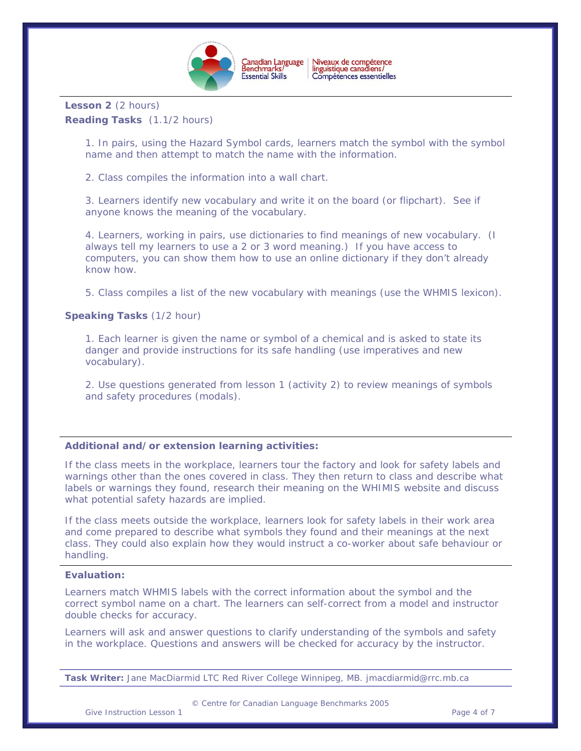

Niveaux de compétence<br>linguistique canadiens/ Compétences essentielles

**Lesson 2** (2 hours) **Reading Tasks** (1.1/2 hours)

> 1. In pairs, using the Hazard Symbol cards, learners match the symbol with the symbol name and then attempt to match the name with the information.

2. Class compiles the information into a wall chart.

3. Learners identify new vocabulary and write it on the board (or flipchart). See if anyone knows the meaning of the vocabulary.

4. Learners, working in pairs, use dictionaries to find meanings of new vocabulary. (I always tell my learners to use a 2 or 3 word meaning.) If you have access to computers, you can show them how to use an online dictionary if they don't already know how.

5. Class compiles a list of the new vocabulary with meanings (use the WHMIS lexicon).

# **Speaking Tasks** (1/2 hour)

1. Each learner is given the name or symbol of a chemical and is asked to state its danger and provide instructions for its safe handling (use imperatives and new vocabulary).

2. Use questions generated from lesson 1 (activity 2) to review meanings of symbols and safety procedures (modals).

#### **Additional and/or extension learning activities:**

If the class meets in the workplace, learners tour the factory and look for safety labels and warnings other than the ones covered in class. They then return to class and describe what labels or warnings they found, research their meaning on the WHIMIS website and discuss what potential safety hazards are implied.

If the class meets outside the workplace, learners look for safety labels in their work area and come prepared to describe what symbols they found and their meanings at the next class. They could also explain how they would instruct a co-worker about safe behaviour or handling.

#### **Evaluation:**

Learners match WHMIS labels with the correct information about the symbol and the correct symbol name on a chart. The learners can self-correct from a model and instructor double checks for accuracy.

Learners will ask and answer questions to clarify understanding of the symbols and safety in the workplace. Questions and answers will be checked for accuracy by the instructor.

**Task Writer:** Jane MacDiarmid LTC Red River College Winnipeg, MB. jmacdiarmid@rrc.mb.ca

© Centre for Canadian Language Benchmarks 2005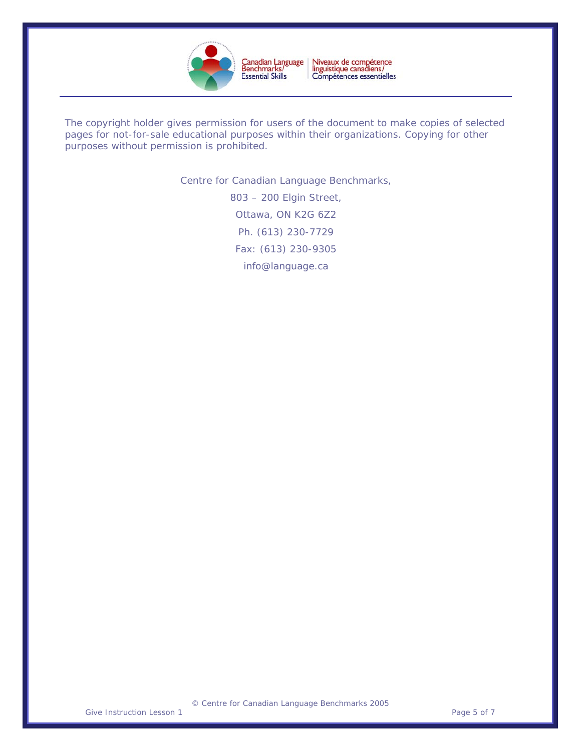

Niveaux de compétence<br>linguistique canadiens/<br>Compétences essentielles Canadian Language<br>Benchmarks/<br>Essential Skills

The copyright holder gives permission for users of the document to make copies of selected pages for not-for-sale educational purposes within their organizations. Copying for other purposes without permission is prohibited.

Centre for Canadian Language Benchmarks,

803 – 200 Elgin Street, Ottawa, ON K2G 6Z2 Ph. (613) 230-7729 Fax: (613) 230-9305 [info@language.ca](mailto:info@language.ca)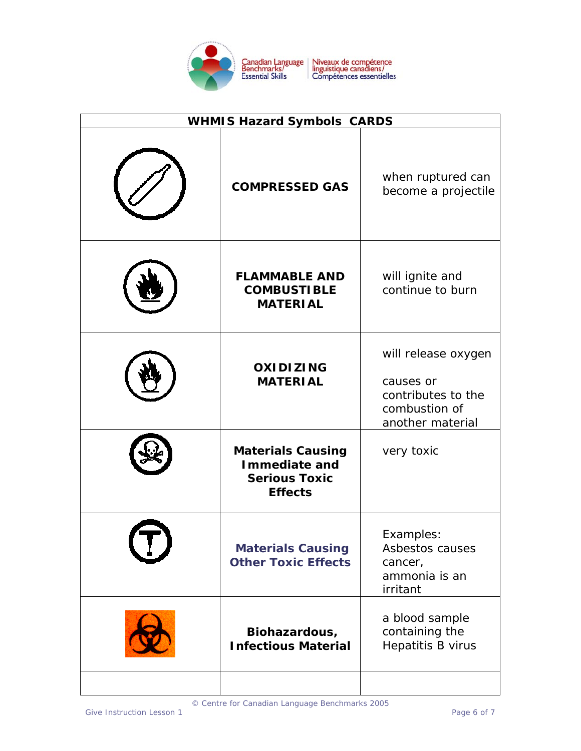

| <b>WHMIS Hazard Symbols CARDS</b> |                                                                                     |                                                                                             |
|-----------------------------------|-------------------------------------------------------------------------------------|---------------------------------------------------------------------------------------------|
|                                   | <b>COMPRESSED GAS</b>                                                               | when ruptured can<br>become a projectile                                                    |
|                                   | <b>FLAMMABLE AND</b><br><b>COMBUSTIBLE</b><br><b>MATERIAL</b>                       | will ignite and<br>continue to burn                                                         |
|                                   | <b>OXIDIZING</b><br><b>MATERIAL</b>                                                 | will release oxygen<br>causes or<br>contributes to the<br>combustion of<br>another material |
|                                   | <b>Materials Causing</b><br>Immediate and<br><b>Serious Toxic</b><br><b>Effects</b> | very toxic                                                                                  |
|                                   | <b>Materials Causing</b><br><b>Other Toxic Effects</b>                              | Examples:<br>Asbestos causes<br>cancer,<br>ammonia is an<br>irritant                        |
|                                   | Biohazardous,<br><b>Infectious Material</b>                                         | a blood sample<br>containing the<br>Hepatitis B virus                                       |
|                                   |                                                                                     |                                                                                             |